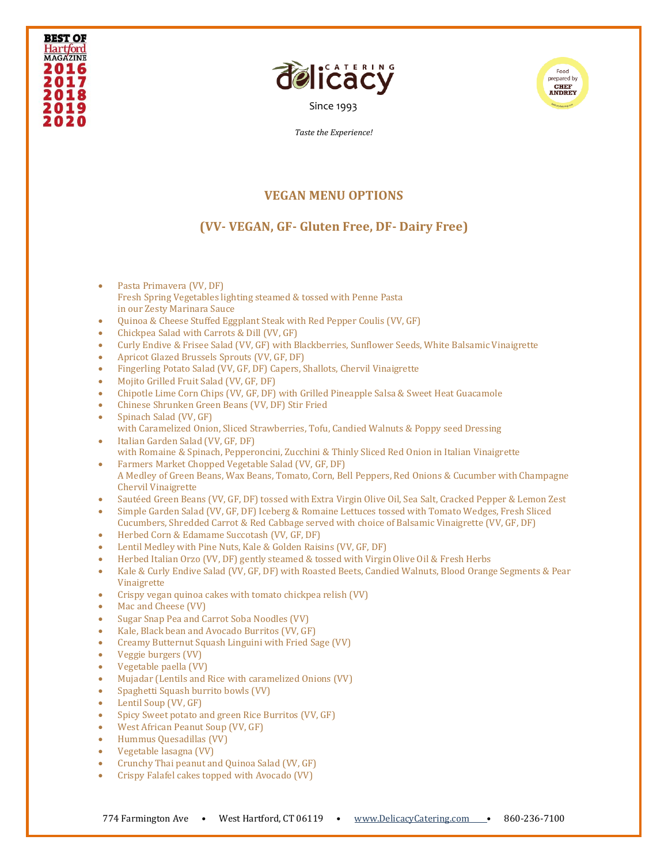





*Taste the Experience!*

## **VEGAN MENU OPTIONS**

## **(VV- VEGAN, GF- Gluten Free, DF- Dairy Free)**

- Pasta Primavera (VV, DF) Fresh Spring Vegetables lighting steamed & tossed with Penne Pasta in our Zesty Marinara Sauce
- Quinoa & Cheese Stuffed Eggplant Steak with Red Pepper Coulis (VV, GF)
- Chickpea Salad with Carrots & Dill (VV, GF)
- Curly Endive & Frisee Salad (VV, GF) with Blackberries, Sunflower Seeds, White Balsamic Vinaigrette
- Apricot Glazed Brussels Sprouts (VV, GF, DF)
- Fingerling Potato Salad (VV, GF, DF) Capers, Shallots, Chervil Vinaigrette
- Mojito Grilled Fruit Salad (VV, GF, DF)
- Chipotle Lime Corn Chips (VV, GF, DF) with Grilled Pineapple Salsa & Sweet Heat Guacamole
- Chinese Shrunken Green Beans (VV, DF) Stir Fried
- Spinach Salad (VV, GF) with Caramelized Onion, Sliced Strawberries, Tofu, Candied Walnuts & Poppy seed Dressing • Italian Garden Salad (VV, GF, DF)
- with Romaine & Spinach, Pepperoncini, Zucchini & Thinly Sliced Red Onion in Italian Vinaigrette • Farmers Market Chopped Vegetable Salad (VV, GF, DF)
- A Medley of Green Beans, Wax Beans, Tomato, Corn, Bell Peppers, Red Onions & Cucumber with Champagne Chervil Vinaigrette
- Sautéed Green Beans (VV, GF, DF) tossed with Extra Virgin Olive Oil, Sea Salt, Cracked Pepper & Lemon Zest
- Simple Garden Salad (VV, GF, DF) Iceberg & Romaine Lettuces tossed with Tomato Wedges, Fresh Sliced Cucumbers, Shredded Carrot & Red Cabbage served with choice of Balsamic Vinaigrette (VV, GF, DF)
- Herbed Corn & Edamame Succotash (VV, GF, DF)
- Lentil Medley with Pine Nuts, Kale & Golden Raisins (VV, GF, DF)
- Herbed Italian Orzo (VV, DF) gently steamed & tossed with Virgin Olive Oil & Fresh Herbs
- Kale & Curly Endive Salad (VV, GF, DF) with Roasted Beets, Candied Walnuts, Blood Orange Segments & Pear Vinaigrette
- Crispy vegan quinoa cakes with tomato chickpea relish (VV)
- Mac and Cheese (VV)
- Sugar Snap Pea and Carrot Soba Noodles (VV)
- Kale, Black bean and Avocado Burritos (VV, GF)
- Creamy Butternut Squash Linguini with Fried Sage (VV)
- Veggie burgers (VV)
- Vegetable paella (VV)
- Mujadar (Lentils and Rice with caramelized Onions (VV)
- Spaghetti Squash burrito bowls (VV)
- Lentil Soup (VV, GF)
- Spicy Sweet potato and green Rice Burritos (VV, GF)
- West African Peanut Soup (VV, GF)
- Hummus Quesadillas (VV)
- Vegetable lasagna (VV)
- Crunchy Thai peanut and Quinoa Salad (VV, GF)
- Crispy Falafel cakes topped with Avocado (VV)